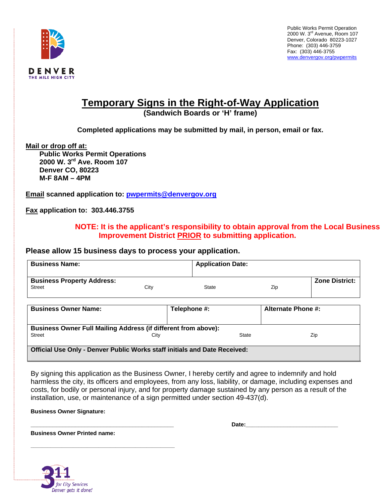

# **Temporary Signs in the Right-of-Way Application**

**(Sandwich Boards or 'H' frame)** 

**Completed applications may be submitted by mail, in person, email or fax.** 

**Mail or drop off at:**

**Public Works Permit Operations 2000 W. 3rd Ave. Room 107 Denver CO, 80223 M-F 8AM – 4PM** 

**Email scanned application to: pwpermits@denvergov.org**

**Fax application to: 303.446.3755** 

## **NOTE: It is the applicant's responsibility to obtain approval from the Local Business Improvement District PRIOR to submitting application.**

### **Please allow 15 business days to process your application.**

| <b>Business Name:</b>                                                                                   |      |       | <b>Application Date:</b> |     |                       |  |
|---------------------------------------------------------------------------------------------------------|------|-------|--------------------------|-----|-----------------------|--|
| <b>Business Property Address:</b><br><b>Street</b>                                                      | City | State |                          | Zip | <b>Zone District:</b> |  |
| <b>Business Owner Name:</b>                                                                             |      |       | Telephone #:             |     | Alternate Phone #:    |  |
| <b>Business Owner Full Mailing Address (if different from above):</b><br>State<br>Street<br>Zip<br>City |      |       |                          |     |                       |  |
| <b>Official Use Only - Denver Public Works staff initials and Date Received:</b>                        |      |       |                          |     |                       |  |

By signing this application as the Business Owner, I hereby certify and agree to indemnify and hold harmless the city, its officers and employees, from any loss, liability, or damage, including expenses and costs, for bodily or personal injury, and for property damage sustained by any person as a result of the installation, use, or maintenance of a sign permitted under section 49-437(d).

**Business Owner Signature:** 

**\_\_\_\_\_\_\_\_\_\_\_\_\_\_\_\_\_\_\_\_\_\_\_\_\_\_\_\_\_\_\_\_\_\_\_\_\_\_\_\_\_\_\_\_\_ Date:\_\_\_\_\_\_\_\_\_\_\_\_\_\_\_\_\_\_\_\_\_\_\_\_\_\_\_\_\_** 

**Business Owner Printed name:** 

**\_\_\_\_\_\_\_\_\_\_\_\_\_\_\_\_\_\_\_\_\_\_\_\_\_\_\_\_\_\_\_\_\_\_\_\_\_\_\_\_\_\_\_\_\_\_\_\_\_\_\_**